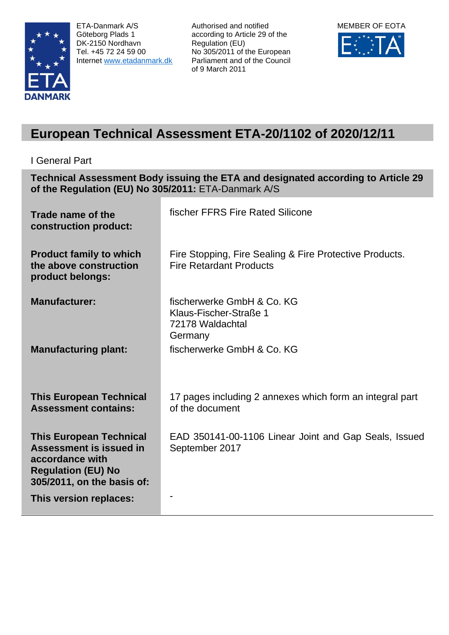

ETA-Danmark A/S Göteborg Plads 1 DK-2150 Nordhavn Tel. +45 72 24 59 00 Internet [www.etadanmark.dk](http://www.etadanmark.dk/) Authorised and notified according to Article 29 of the Regulation (EU) No 305/2011 of the European Parliament and of the Council of 9 March 2011



# **European Technical Assessment ETA-20/1102 of 2020/12/11**

I General Part

**Technical Assessment Body issuing the ETA and designated according to Article 29 of the Regulation (EU) No 305/2011:** ETA-Danmark A/S

| Trade name of the<br>construction product:                                                                                              | fischer FFRS Fire Rated Silicone                                                          |
|-----------------------------------------------------------------------------------------------------------------------------------------|-------------------------------------------------------------------------------------------|
| <b>Product family to which</b><br>the above construction<br>product belongs:                                                            | Fire Stopping, Fire Sealing & Fire Protective Products.<br><b>Fire Retardant Products</b> |
| <b>Manufacturer:</b>                                                                                                                    | fischerwerke GmbH & Co. KG<br>Klaus-Fischer-Straße 1<br>72178 Waldachtal<br>Germany       |
| <b>Manufacturing plant:</b>                                                                                                             | fischerwerke GmbH & Co. KG                                                                |
| <b>This European Technical</b><br><b>Assessment contains:</b>                                                                           | 17 pages including 2 annexes which form an integral part<br>of the document               |
| <b>This European Technical</b><br>Assessment is issued in<br>accordance with<br><b>Regulation (EU) No</b><br>305/2011, on the basis of: | EAD 350141-00-1106 Linear Joint and Gap Seals, Issued<br>September 2017                   |
| This version replaces:                                                                                                                  |                                                                                           |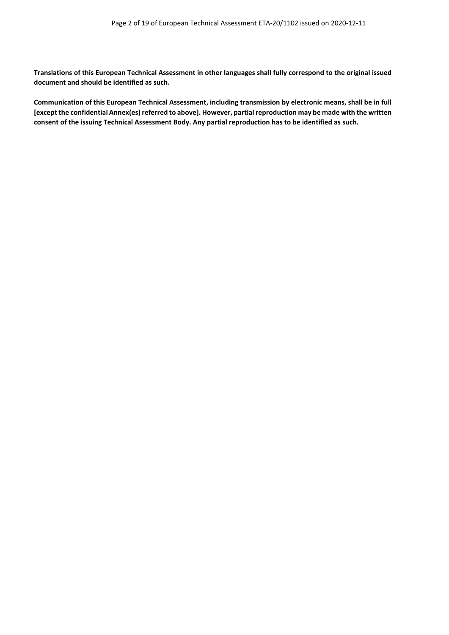**Translations of this European Technical Assessment in other languages shall fully correspond to the original issued document and should be identified as such.**

**Communication of this European Technical Assessment, including transmission by electronic means, shall be in full [except the confidential Annex(es) referred to above]. However, partial reproduction may be made with the written consent of the issuing Technical Assessment Body. Any partial reproduction has to be identified as such.**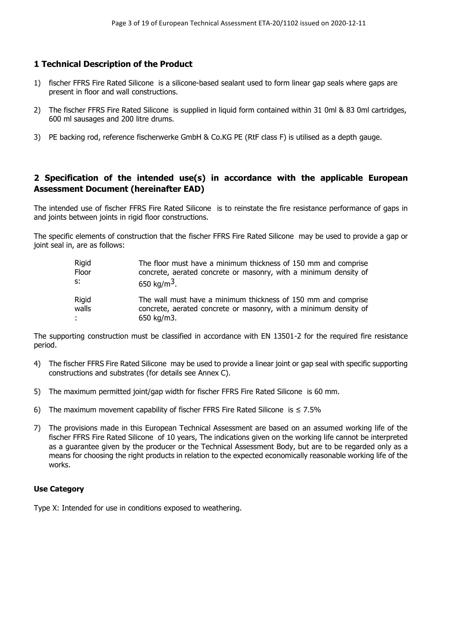#### **1 Technical Description of the Product**

- 1) fischer FFRS Fire Rated Silicone is a silicone-based sealant used to form linear gap seals where gaps are present in floor and wall constructions.
- 2) The fischer FFRS Fire Rated Silicone is supplied in liquid form contained within 31 0ml & 83 0ml cartridges, 600 ml sausages and 200 litre drums.
- 3) PE backing rod, reference fischerwerke GmbH & Co.KG PE (RtF class F) is utilised as a depth gauge.

#### **2 Specification of the intended use(s) in accordance with the applicable European Assessment Document (hereinafter EAD)**

The intended use of fischer FFRS Fire Rated Silicone is to reinstate the fire resistance performance of gaps in and joints between joints in rigid floor constructions.

The specific elements of construction that the fischer FFRS Fire Rated Silicone may be used to provide a gap or joint seal in, are as follows:

| Rigid | The floor must have a minimum thickness of 150 mm and comprise   |
|-------|------------------------------------------------------------------|
| Floor | concrete, aerated concrete or masonry, with a minimum density of |
| $S^*$ | 650 kg/m <sup>3</sup> .                                          |
| Rigid | The wall must have a minimum thickness of 150 mm and comprise    |
| walls | concrete, aerated concrete or masonry, with a minimum density of |
| ÷     | 650 kg/m3.                                                       |

The supporting construction must be classified in accordance with EN 13501-2 for the required fire resistance period.

- 4) The fischer FFRS Fire Rated Silicone may be used to provide a linear joint or gap seal with specific supporting constructions and substrates (for details see Annex C).
- 5) The maximum permitted joint/gap width for fischer FFRS Fire Rated Silicone is 60 mm.
- 6) The maximum movement capability of fischer FFRS Fire Rated Silicone is  $\leq 7.5\%$
- 7) The provisions made in this European Technical Assessment are based on an assumed working life of the fischer FFRS Fire Rated Silicone of 10 years, The indications given on the working life cannot be interpreted as a guarantee given by the producer or the Technical Assessment Body, but are to be regarded only as a means for choosing the right products in relation to the expected economically reasonable working life of the works.

#### **Use Category**

Type X: Intended for use in conditions exposed to weathering.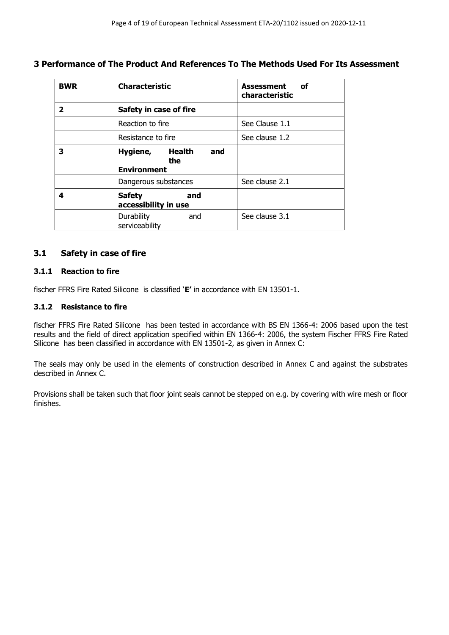**3 Performance of The Product And References To The Methods Used For Its Assessment**

| <b>BWR</b> | <b>Characteristic</b>                               | Assessment<br>of<br>characteristic |
|------------|-----------------------------------------------------|------------------------------------|
| 2          | Safety in case of fire                              |                                    |
|            | Reaction to fire                                    | See Clause 1.1                     |
|            | Resistance to fire                                  | See clause 1.2                     |
| 3          | Hygiene, Health<br>and<br>the<br><b>Environment</b> |                                    |
|            | Dangerous substances                                | See clause 2.1                     |
| 4          | and<br><b>Safety</b><br>accessibility in use        |                                    |
|            | <b>Durability</b><br>and<br>serviceability          | See clause 3.1                     |

#### **3.1 Safety in case of fire**

#### **3.1.1 Reaction to fire**

fischer FFRS Fire Rated Silicone is classified '**E'** in accordance with EN 13501-1.

#### **3.1.2 Resistance to fire**

fischer FFRS Fire Rated Silicone has been tested in accordance with BS EN 1366-4: 2006 based upon the test results and the field of direct application specified within EN 1366-4: 2006, the system Fischer FFRS Fire Rated Silicone has been classified in accordance with EN 13501-2, as given in Annex C:

The seals may only be used in the elements of construction described in Annex C and against the substrates described in Annex C.

Provisions shall be taken such that floor joint seals cannot be stepped on e.g. by covering with wire mesh or floor finishes.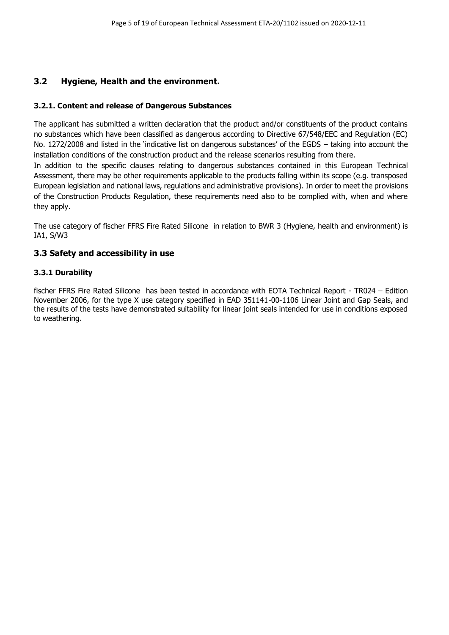#### **3.2 Hygiene, Health and the environment.**

#### **3.2.1. Content and release of Dangerous Substances**

The applicant has submitted a written declaration that the product and/or constituents of the product contains no substances which have been classified as dangerous according to Directive 67/548/EEC and Regulation (EC) No. 1272/2008 and listed in the 'indicative list on dangerous substances' of the EGDS – taking into account the installation conditions of the construction product and the release scenarios resulting from there.

In addition to the specific clauses relating to dangerous substances contained in this European Technical Assessment, there may be other requirements applicable to the products falling within its scope (e.g. transposed European legislation and national laws, regulations and administrative provisions). In order to meet the provisions of the Construction Products Regulation, these requirements need also to be complied with, when and where they apply.

The use category of fischer FFRS Fire Rated Silicone in relation to BWR 3 (Hygiene, health and environment) is IA1, S/W3

#### **3.3 Safety and accessibility in use**

#### **3.3.1 Durability**

fischer FFRS Fire Rated Silicone has been tested in accordance with EOTA Technical Report - TR024 – Edition November 2006, for the type X use category specified in EAD 351141-00-1106 Linear Joint and Gap Seals, and the results of the tests have demonstrated suitability for linear joint seals intended for use in conditions exposed to weathering.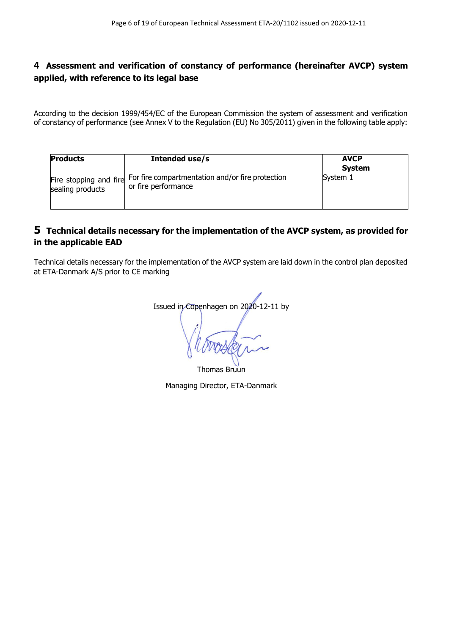### **4 Assessment and verification of constancy of performance (hereinafter AVCP) system applied, with reference to its legal base**

According to the decision 1999/454/EC of the European Commission the system of assessment and verification of constancy of performance (see Annex V to the Regulation (EU) No 305/2011) given in the following table apply:

| <b>Products</b>                            | Intended use/s                                                          | <b>AVCP</b><br><b>System</b> |
|--------------------------------------------|-------------------------------------------------------------------------|------------------------------|
| Fire stopping and fire<br>sealing products | For fire compartmentation and/or fire protection<br>or fire performance | System 1                     |

#### **5 Technical details necessary for the implementation of the AVCP system, as provided for in the applicable EAD**

Technical details necessary for the implementation of the AVCP system are laid down in the control plan deposited at ETA-Danmark A/S prior to CE marking

Issued in Copenhagen on 2020-12-11 by

Thomas Bruun

Managing Director, ETA-Danmark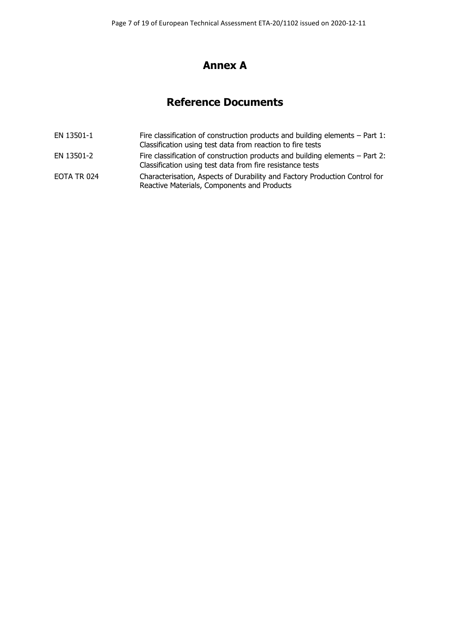# **Annex A**

# **Reference Documents**

EN 13501-1 Fire classification of construction products and building elements – Part 1: Classification using test data from reaction to fire tests EN 13501-2 Fire classification of construction products and building elements – Part 2: Classification using test data from fire resistance tests EOTA TR 024 Characterisation, Aspects of Durability and Factory Production Control for Reactive Materials, Components and Products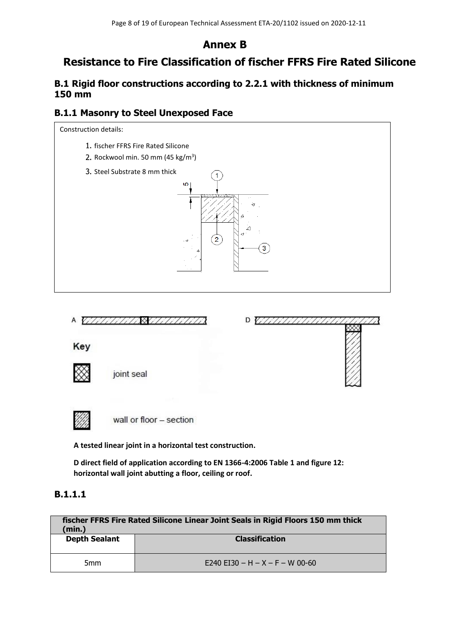## **Annex B**

# **Resistance to Fire Classification of fischer FFRS Fire Rated Silicone**

## **B.1 Rigid floor constructions according to 2.2.1 with thickness of minimum 150 mm**

### **B.1.1 Masonry to Steel Unexposed Face**



**A tested linear joint in a horizontal test construction.**

**D direct field of application according to EN 1366-4:2006 Table 1 and figure 12: horizontal wall joint abutting a floor, ceiling or roof.**

## **B.1.1.1**

| fischer FFRS Fire Rated Silicone Linear Joint Seals in Rigid Floors 150 mm thick<br>(min.) |                                 |
|--------------------------------------------------------------------------------------------|---------------------------------|
| <b>Depth Sealant</b>                                                                       | <b>Classification</b>           |
| 5 <sub>mm</sub>                                                                            | E240 EI30 - H - X - F - W 00-60 |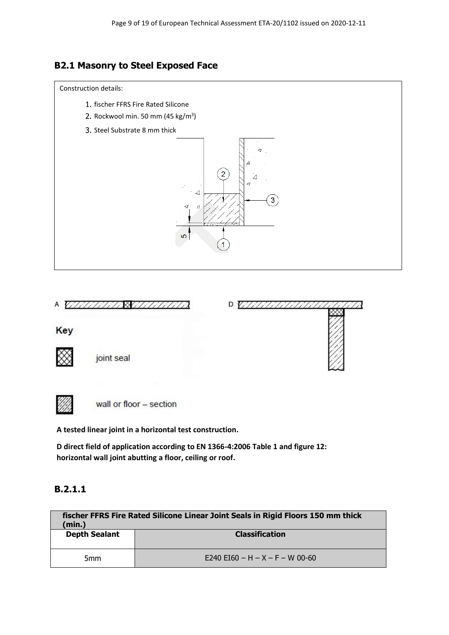## **B2.1 Masonry to Steel Exposed Face**

#### Construction details:

- 1. fischer FFRS Fire Rated Silicone
- Rockwool min. 50 mm (45 kg/m<sup>3</sup>)
- Steel Substrate 8 mm thick



 $DVIH$ 

Key

joint seal



wall or floor - section

**A tested linear joint in a horizontal test construction.**

**D direct field of application according to EN 1366-4:2006 Table 1 and figure 12: horizontal wall joint abutting a floor, ceiling or roof.**

## **B.2.1.1**

| fischer FFRS Fire Rated Silicone Linear Joint Seals in Rigid Floors 150 mm thick<br>(min.) |                                 |
|--------------------------------------------------------------------------------------------|---------------------------------|
| <b>Depth Sealant</b>                                                                       | <b>Classification</b>           |
| 5 <sub>mm</sub>                                                                            | E240 EI60 - H - X - F - W 00-60 |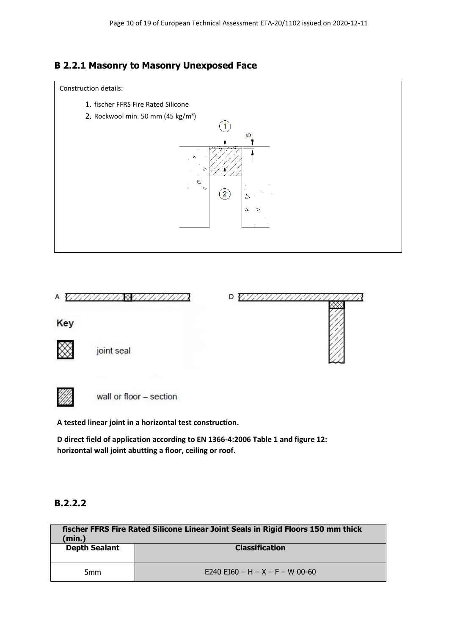



wall or floor - section

**A tested linear joint in a horizontal test construction.**

**D direct field of application according to EN 1366-4:2006 Table 1 and figure 12: horizontal wall joint abutting a floor, ceiling or roof.**

### **B.2.2.2**

| fischer FFRS Fire Rated Silicone Linear Joint Seals in Rigid Floors 150 mm thick<br>(min.) |                                 |
|--------------------------------------------------------------------------------------------|---------------------------------|
| <b>Depth Sealant</b>                                                                       | <b>Classification</b>           |
| 5 <sub>mm</sub>                                                                            | E240 EI60 - H - X - F - W 00-60 |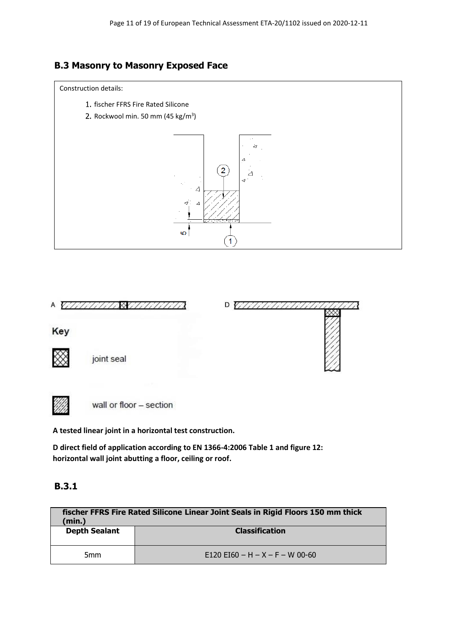## **B.3 Masonry to Masonry Exposed Face**







wall or floor - section

**A tested linear joint in a horizontal test construction.**

**D direct field of application according to EN 1366-4:2006 Table 1 and figure 12: horizontal wall joint abutting a floor, ceiling or roof.**

### **B.3.1**

| fischer FFRS Fire Rated Silicone Linear Joint Seals in Rigid Floors 150 mm thick<br>(min.) |                                 |
|--------------------------------------------------------------------------------------------|---------------------------------|
| <b>Depth Sealant</b>                                                                       | <b>Classification</b>           |
| 5 <sub>mm</sub>                                                                            | E120 EI60 - H - X - F - W 00-60 |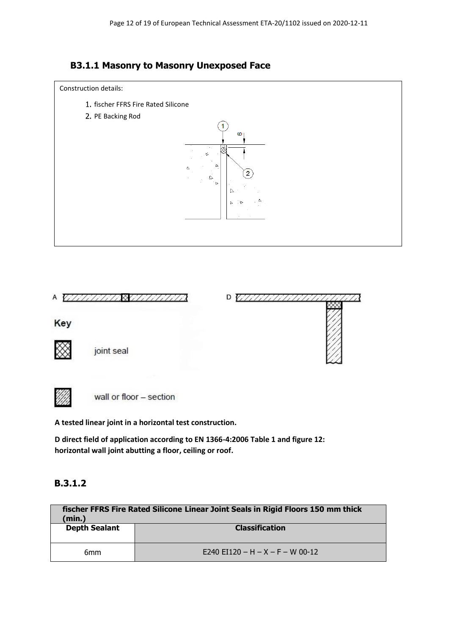





**A tested linear joint in a horizontal test construction.**

**D direct field of application according to EN 1366-4:2006 Table 1 and figure 12: horizontal wall joint abutting a floor, ceiling or roof.**

### **B.3.1.2**

| fischer FFRS Fire Rated Silicone Linear Joint Seals in Rigid Floors 150 mm thick<br>(min.) |                                  |
|--------------------------------------------------------------------------------------------|----------------------------------|
| <b>Depth Sealant</b>                                                                       | <b>Classification</b>            |
| 6mm                                                                                        | E240 EI120 - H - X - F - W 00-12 |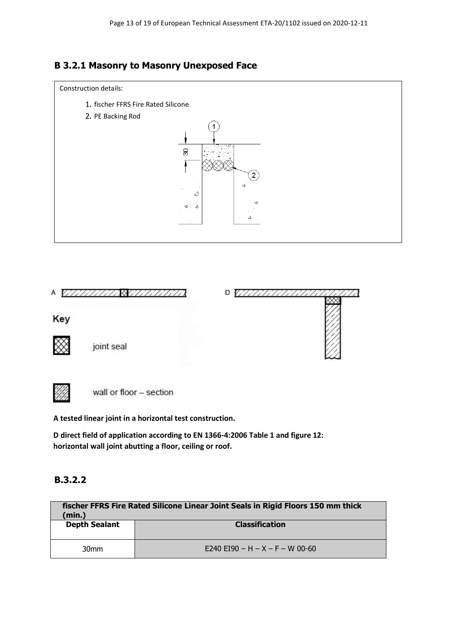





**A tested linear joint in a horizontal test construction.**

**D direct field of application according to EN 1366-4:2006 Table 1 and figure 12: horizontal wall joint abutting a floor, ceiling or roof.**

### **B.3.2.2**

| fischer FFRS Fire Rated Silicone Linear Joint Seals in Rigid Floors 150 mm thick<br>(min.) |                                 |
|--------------------------------------------------------------------------------------------|---------------------------------|
| <b>Depth Sealant</b>                                                                       | <b>Classification</b>           |
| 30 <sub>mm</sub>                                                                           | E240 EI90 - H - X - F - W 00-60 |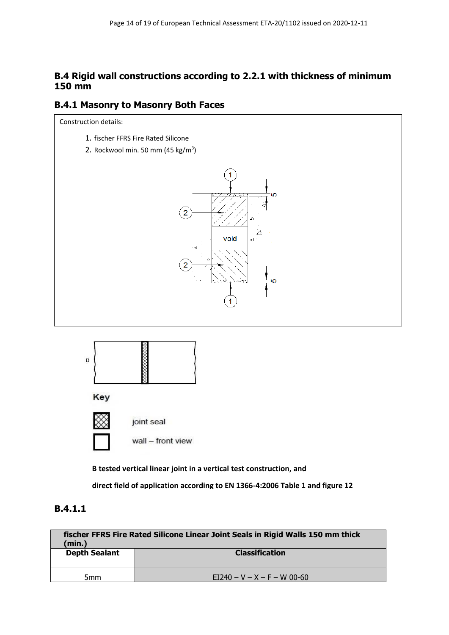### **B.4 Rigid wall constructions according to 2.2.1 with thickness of minimum 150 mm**

#### **B.4.1 Masonry to Masonry Both Faces**

Construction details:

- 1. fischer FFRS Fire Rated Silicone
- Rockwool min. 50 mm (45 kg/m<sup>3</sup>)





**B tested vertical linear joint in a vertical test construction, and**

**direct field of application according to EN 1366-4:2006 Table 1 and figure 12**

## **B.4.1.1**

| fischer FFRS Fire Rated Silicone Linear Joint Seals in Rigid Walls 150 mm thick<br>(min.) |                               |
|-------------------------------------------------------------------------------------------|-------------------------------|
| <b>Depth Sealant</b>                                                                      | <b>Classification</b>         |
| 5mm                                                                                       | $E1240 - V - X - F - W 00-60$ |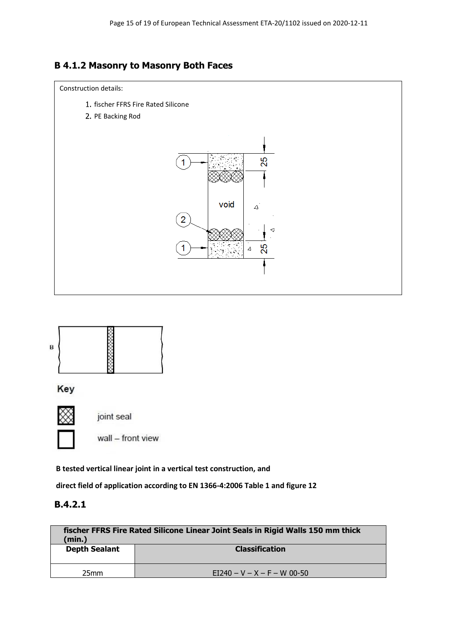# **B 4.1.2 Masonry to Masonry Both Faces**





**direct field of application according to EN 1366-4:2006 Table 1 and figure 12**

| fischer FFRS Fire Rated Silicone Linear Joint Seals in Rigid Walls 150 mm thick<br>(min.) |                               |
|-------------------------------------------------------------------------------------------|-------------------------------|
| <b>Depth Sealant</b>                                                                      | <b>Classification</b>         |
|                                                                                           |                               |
| 25 <sub>mm</sub>                                                                          | $E1240 - V - X - F - W 00-50$ |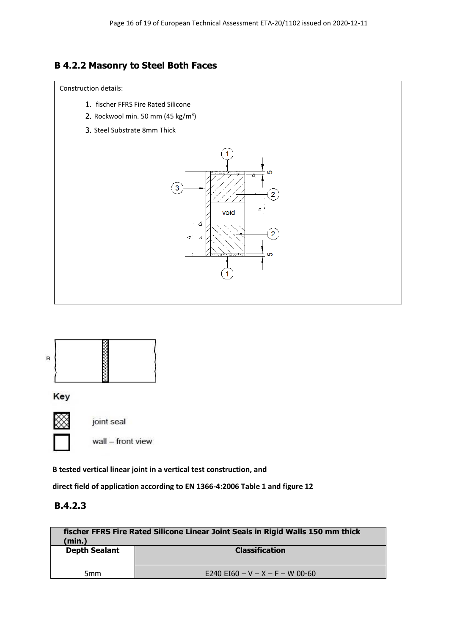## **B 4.2.2 Masonry to Steel Both Faces**

#### Construction details:

- 1. fischer FFRS Fire Rated Silicone
- Rockwool min. 50 mm (45 kg/m<sup>3</sup>)
- Steel Substrate 8mm Thick





Key



wall - front view

joint seal

**B tested vertical linear joint in a vertical test construction, and**

**direct field of application according to EN 1366-4:2006 Table 1 and figure 12**

| fischer FFRS Fire Rated Silicone Linear Joint Seals in Rigid Walls 150 mm thick<br>(min.) |                                 |
|-------------------------------------------------------------------------------------------|---------------------------------|
| <b>Depth Sealant</b>                                                                      | <b>Classification</b>           |
|                                                                                           |                                 |
| 5 <sub>mm</sub>                                                                           | E240 EI60 - V - X - F - W 00-60 |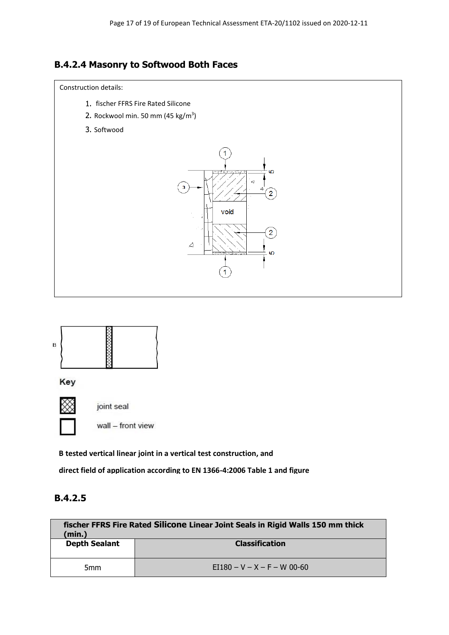## **B.4.2.4 Masonry to Softwood Both Faces**



- 1. fischer FFRS Fire Rated Silicone
- Rockwool min. 50 mm (45 kg/m<sup>3</sup>)
- 3. Softwood





**B tested vertical linear joint in a vertical test construction, and**

**direct field of application according to EN 1366-4:2006 Table 1 and figure** 

| fischer FFRS Fire Rated Silicone Linear Joint Seals in Rigid Walls 150 mm thick<br>(min.) |                               |
|-------------------------------------------------------------------------------------------|-------------------------------|
| <b>Depth Sealant</b>                                                                      | <b>Classification</b>         |
| 5 <sub>mm</sub>                                                                           | $E1180 - V - X - F - W 00-60$ |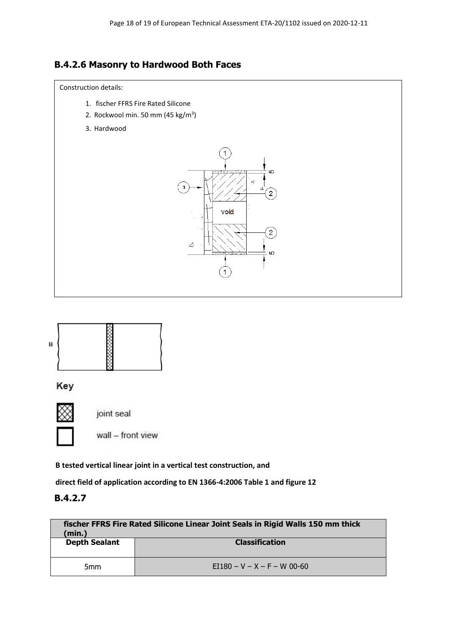## **B.4.2.6 Masonry to Hardwood Both Faces**

#### Construction details:

- 1. fischer FFRS Fire Rated Silicone
- 2. Rockwool min. 50 mm (45 kg/m<sup>3</sup>)
- 3. Hardwood





**B tested vertical linear joint in a vertical test construction, and**

**direct field of application according to EN 1366-4:2006 Table 1 and figure 12**

| fischer FFRS Fire Rated Silicone Linear Joint Seals in Rigid Walls 150 mm thick<br>(min.) |                               |
|-------------------------------------------------------------------------------------------|-------------------------------|
| <b>Depth Sealant</b>                                                                      | <b>Classification</b>         |
| 5 <sub>mm</sub>                                                                           | $E1180 - V - X - F - W 00-60$ |